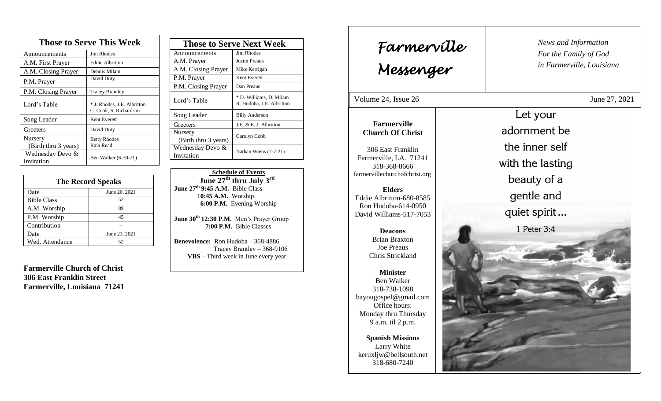| <b>Those to Serve This Week</b> |                                                       |  |
|---------------------------------|-------------------------------------------------------|--|
| Announcements                   | <b>Jim Rhodes</b>                                     |  |
| A.M. First Prayer               | <b>Eddie Albritton</b>                                |  |
| A.M. Closing Prayer             | Dennis Milam                                          |  |
| P.M. Prayer                     | David Duty                                            |  |
| P.M. Closing Prayer             | <b>Tracey Brantley</b>                                |  |
| Lord's Table                    | * J. Rhodes, J.E. Albritton<br>C. Cook, S. Richardson |  |
| Song Leader                     | Kent Everett                                          |  |
| Greeters                        | David Duty                                            |  |
| Nursery                         | <b>Betty Rhodes</b>                                   |  |
| (Birth thru 3 years)            | Kaia Read                                             |  |
| Wednesday Devo &<br>Invitation  | Ben Walker (6-30-21)                                  |  |

| <b>The Record Speaks</b> |               |  |
|--------------------------|---------------|--|
| Date                     | June 20, 2021 |  |
| <b>Bible Class</b>       | 52            |  |
| A.M. Worship             | 89            |  |
| P.M. Worship             | 45            |  |
| Contribution             |               |  |
| Date                     | June 23, 2021 |  |
| Wed. Attendance          | 52            |  |

**Farmerville Church of Christ 306 East Franklin Street Farmerville, Louisiana 71241**

| <b>Those to Serve Next Week</b> |                                                      |  |
|---------------------------------|------------------------------------------------------|--|
| Announcements                   | Jim Rhodes                                           |  |
| A.M. Prayer                     | <b>Justin Preaus</b>                                 |  |
| A.M. Closing Prayer             | Mike Kerrigan                                        |  |
| P.M. Prayer                     | Kent Everett                                         |  |
| P.M. Closing Prayer             | Dan Preaus                                           |  |
| Lord's Table                    | * D. Williams, D. Milam<br>R. Hudoba, J.E. Albritton |  |
| Song Leader                     | <b>Billy Anderson</b>                                |  |
| Greeters                        | J.E. & E. J. Albritton                               |  |
| Nursery<br>(Birth thru 3 years) | Carolyn Cobb                                         |  |
| Wednesday Devo &<br>Invitation  | Nathan Wiens (7-7-21)                                |  |

 **Schedule of Events June 27 th thru July 3rd June 27 th 9:45 A.M.** Bible Class 1**0:45 A.M.** Worship  **6:00 P.M.** Evening Worship

**June 30th 12:30 P.M.** Men's Prayer Group **7:00 P.M.** Bible Classes

**Benevolence:** Ron Hudoba – 368-4886 Tracey Brantley – 368-9106 **VBS** – Third week in June every year

| Farmerville<br>Messenger                      |                  | News and Information<br>For the Family of God<br>in Farmerville, Louisiana |
|-----------------------------------------------|------------------|----------------------------------------------------------------------------|
| Volume 24, Issue 26<br>June 27, 2021          |                  |                                                                            |
|                                               |                  | Let your                                                                   |
| <b>Farmerville</b><br><b>Church Of Christ</b> |                  | adornment be                                                               |
| 306 East Franklin                             |                  | the inner self                                                             |
| Farmerville, LA. 71241<br>318-368-8666        | with the lasting |                                                                            |
| farmervillechurchofchrist.org                 |                  | beauty of a                                                                |
| <b>Elders</b><br>Eddie Albritton-680-8585     | gentle and       |                                                                            |
| Ron Hudoba-614-0950                           |                  |                                                                            |
| David Williams-517-7053                       |                  | quiet spirit                                                               |
| <b>Deacons</b><br><b>Brian Braxton</b>        |                  | 1 Peter 3:4                                                                |
| <b>Joe Preaus</b>                             |                  |                                                                            |
| Chris Strickland                              |                  |                                                                            |
| <b>Minister</b><br><b>Ben Walker</b>          |                  |                                                                            |
| 318-738-1098                                  |                  |                                                                            |
| bayougospel@gmail.com<br>Office hours:        |                  |                                                                            |
| Monday thru Thursday                          |                  |                                                                            |
| 9 a.m. til 2 p.m.                             |                  |                                                                            |
| <b>Spanish Missions</b>                       |                  |                                                                            |
| Larry White<br>keruxljw@bellsouth.net         |                  |                                                                            |
| 318-680-7240                                  |                  |                                                                            |